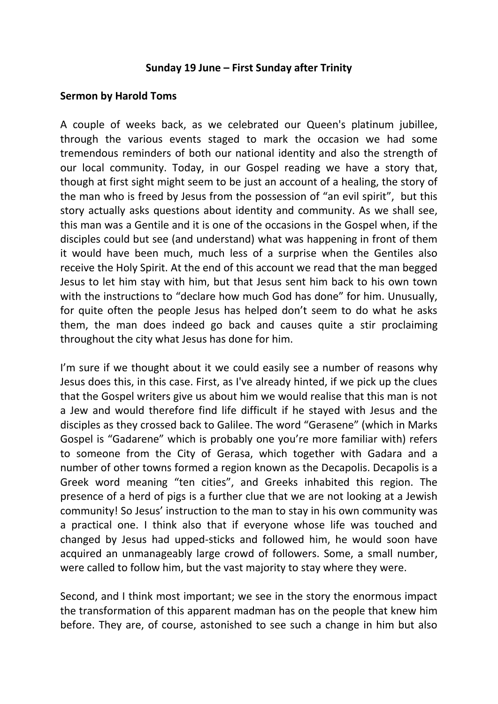## **Sunday 19 June – First Sunday after Trinity**

## **Sermon by Harold Toms**

A couple of weeks back, as we celebrated our Queen's platinum jubillee, through the various events staged to mark the occasion we had some tremendous reminders of both our national identity and also the strength of our local community. Today, in our Gospel reading we have a story that, though at first sight might seem to be just an account of a healing, the story of the man who is freed by Jesus from the possession of "an evil spirit", but this story actually asks questions about identity and community. As we shall see, this man was a Gentile and it is one of the occasions in the Gospel when, if the disciples could but see (and understand) what was happening in front of them it would have been much, much less of a surprise when the Gentiles also receive the Holy Spirit. At the end of this account we read that the man begged Jesus to let him stay with him, but that Jesus sent him back to his own town with the instructions to "declare how much God has done" for him. Unusually, for quite often the people Jesus has helped don't seem to do what he asks them, the man does indeed go back and causes quite a stir proclaiming throughout the city what Jesus has done for him.

I'm sure if we thought about it we could easily see a number of reasons why Jesus does this, in this case. First, as I've already hinted, if we pick up the clues that the Gospel writers give us about him we would realise that this man is not a Jew and would therefore find life difficult if he stayed with Jesus and the disciples as they crossed back to Galilee. The word "Gerasene" (which in Marks Gospel is "Gadarene" which is probably one you're more familiar with) refers to someone from the City of Gerasa, which together with Gadara and a number of other towns formed a region known as the Decapolis. Decapolis is a Greek word meaning "ten cities", and Greeks inhabited this region. The presence of a herd of pigs is a further clue that we are not looking at a Jewish community! So Jesus' instruction to the man to stay in his own community was a practical one. I think also that if everyone whose life was touched and changed by Jesus had upped-sticks and followed him, he would soon have acquired an unmanageably large crowd of followers. Some, a small number, were called to follow him, but the vast majority to stay where they were.

Second, and I think most important; we see in the story the enormous impact the transformation of this apparent madman has on the people that knew him before. They are, of course, astonished to see such a change in him but also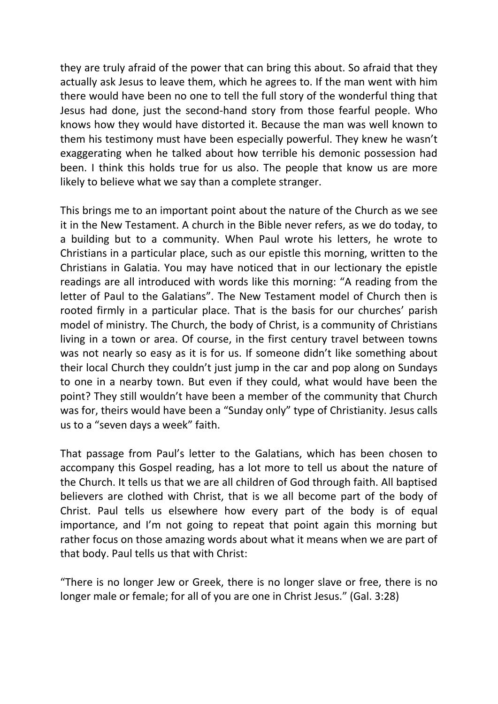they are truly afraid of the power that can bring this about. So afraid that they actually ask Jesus to leave them, which he agrees to. If the man went with him there would have been no one to tell the full story of the wonderful thing that Jesus had done, just the second-hand story from those fearful people. Who knows how they would have distorted it. Because the man was well known to them his testimony must have been especially powerful. They knew he wasn't exaggerating when he talked about how terrible his demonic possession had been. I think this holds true for us also. The people that know us are more likely to believe what we say than a complete stranger.

This brings me to an important point about the nature of the Church as we see it in the New Testament. A church in the Bible never refers, as we do today, to a building but to a community. When Paul wrote his letters, he wrote to Christians in a particular place, such as our epistle this morning, written to the Christians in Galatia. You may have noticed that in our lectionary the epistle readings are all introduced with words like this morning: "A reading from the letter of Paul to the Galatians". The New Testament model of Church then is rooted firmly in a particular place. That is the basis for our churches' parish model of ministry. The Church, the body of Christ, is a community of Christians living in a town or area. Of course, in the first century travel between towns was not nearly so easy as it is for us. If someone didn't like something about their local Church they couldn't just jump in the car and pop along on Sundays to one in a nearby town. But even if they could, what would have been the point? They still wouldn't have been a member of the community that Church was for, theirs would have been a "Sunday only" type of Christianity. Jesus calls us to a "seven days a week" faith.

That passage from Paul's letter to the Galatians, which has been chosen to accompany this Gospel reading, has a lot more to tell us about the nature of the Church. It tells us that we are all children of God through faith. All baptised believers are clothed with Christ, that is we all become part of the body of Christ. Paul tells us elsewhere how every part of the body is of equal importance, and I'm not going to repeat that point again this morning but rather focus on those amazing words about what it means when we are part of that body. Paul tells us that with Christ:

"There is no longer Jew or Greek, there is no longer slave or free, there is no longer male or female; for all of you are one in Christ Jesus." (Gal. 3:28)